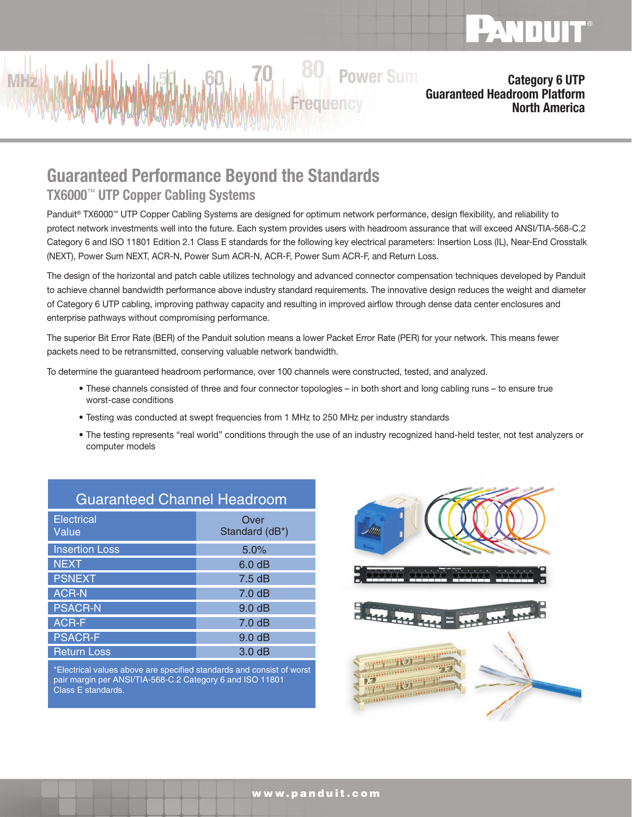

#### Category 6 UTP Guaranteed Headroom Platform North America

# Guaranteed Performance Beyond the Standards

### TX6000™ UTP Copper Cabling Systems

Panduit® TX6000™ UTP Copper Cabling Systems are designed for optimum network performance, design flexibility, and reliability to protect network investments well into the future. Each system provides users with headroom assurance that will exceed ANSI/TIA-568-C.2 Category 6 and ISO 11801 Edition 2.1 Class E standards for the following key electrical parameters: Insertion Loss (IL), Near-End Crosstalk (NEXT), Power Sum NEXT, ACR-N, Power Sum ACR-N, ACR-F, Power Sum ACR-F, and Return Loss.

**Frequency** 

**Power Sum** 

The design of the horizontal and patch cable utilizes technology and advanced connector compensation techniques developed by Panduit to achieve channel bandwidth performance above industry standard requirements. The innovative design reduces the weight and diameter of Category 6 UTP cabling, improving pathway capacity and resulting in improved airflow through dense data center enclosures and enterprise pathways without compromising performance.

The superior Bit Error Rate (BER) of the Panduit solution means a lower Packet Error Rate (PER) for your network. This means fewer packets need to be retransmitted, conserving valuable network bandwidth.

To determine the guaranteed headroom performance, over 100 channels were constructed, tested, and analyzed.

- These channels consisted of three and four connector topologies in both short and long cabling runs to ensure true worst-case conditions
- Testing was conducted at swept frequencies from 1 MHz to 250 MHz per industry standards
- The testing represents "real world" conditions through the use of an industry recognized hand-held tester, not test analyzers or computer models

| <b>Guaranteed Channel Headroom</b> |                        |
|------------------------------------|------------------------|
| <b>Electrical</b><br>Value         | Over<br>Standard (dB*) |
| <b>Insertion Loss</b>              | 5.0%                   |
| <b>NEXT</b>                        | 6.0 dB                 |
| <b>PSNEXT</b>                      | 7.5dB                  |
| <b>ACR-N</b>                       | 7.0 dB                 |
| <b>PSACR-N</b>                     | 9.0 dB                 |
| <b>ACR-F</b>                       | 7.0 dB                 |
| <b>PSACR-F</b>                     | 9.0 <sub>dB</sub>      |
| <b>Return Loss</b>                 | 3.0dB                  |

\*Electrical values above are specified standards and consist of worst pair margin per ANSI/TIA-568-C.2 Category 6 and ISO 11801 Class E standards.